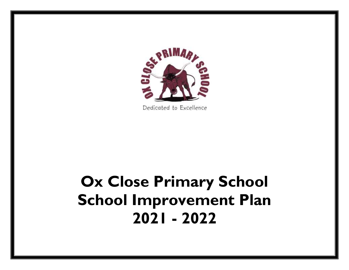

Dedicated to Excellence

# **Ox Close Primary School School Improvement Plan 2021 - 2022**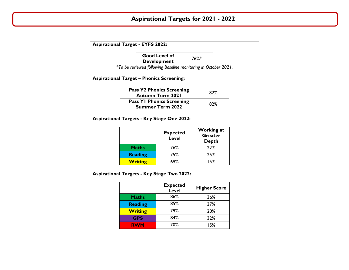# **Aspirational Targets for 2021 - 2022**

| <b>Aspirational Target - EYFS 2022:</b>                        |                                                   |                                                             |                     |     |  |  |
|----------------------------------------------------------------|---------------------------------------------------|-------------------------------------------------------------|---------------------|-----|--|--|
|                                                                |                                                   | <b>Good Level of</b>                                        | 76%*                |     |  |  |
|                                                                |                                                   | <b>Development</b>                                          |                     |     |  |  |
| *To be reviewed following Baseline monitoring in October 2021. |                                                   |                                                             |                     |     |  |  |
|                                                                | <b>Aspirational Target - Phonics Screening:</b>   |                                                             |                     |     |  |  |
|                                                                |                                                   | <b>Pass Y2 Phonics Screening</b><br><b>Autumn Term 2021</b> |                     | 82% |  |  |
|                                                                |                                                   | <b>Pass YI Phonics Screening</b><br><b>Summer Term 2022</b> |                     | 82% |  |  |
|                                                                |                                                   |                                                             | <b>Working at</b>   |     |  |  |
|                                                                |                                                   | <b>Expected</b><br><b>Level</b>                             | <b>Greater</b>      |     |  |  |
|                                                                |                                                   |                                                             | <b>Depth</b>        |     |  |  |
|                                                                | <b>Maths</b>                                      | 76%                                                         | 22%                 |     |  |  |
|                                                                | <b>Reading</b><br><b>Writing</b>                  | 75%<br>69%                                                  | 25%<br>15%          |     |  |  |
|                                                                | <b>Aspirational Targets - Key Stage Two 2022:</b> |                                                             |                     |     |  |  |
|                                                                |                                                   | <b>Expected</b><br>Level                                    | <b>Higher Score</b> |     |  |  |
|                                                                | <b>Maths</b>                                      | 86%                                                         | 36%                 |     |  |  |
|                                                                | <b>Reading</b>                                    | 85%                                                         | 37%                 |     |  |  |
|                                                                | <b>Writing</b>                                    | 79%                                                         | 20%                 |     |  |  |
|                                                                | <b>GPS</b>                                        | 84%                                                         | 32%                 |     |  |  |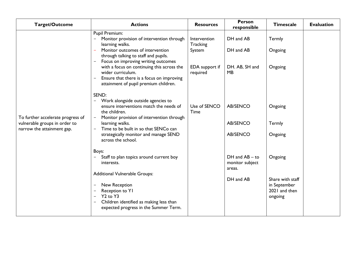| <b>Target/Outcome</b>                                                                            | <b>Actions</b>                                                                                                                                                                                                                                                                                                                                                      | <b>Resources</b>                                                 | <b>Person</b><br>responsible                                 | <b>Timescale</b>                                                        | <b>Evaluation</b> |
|--------------------------------------------------------------------------------------------------|---------------------------------------------------------------------------------------------------------------------------------------------------------------------------------------------------------------------------------------------------------------------------------------------------------------------------------------------------------------------|------------------------------------------------------------------|--------------------------------------------------------------|-------------------------------------------------------------------------|-------------------|
|                                                                                                  | Pupil Premium:<br>Monitor provision of intervention through<br>learning walks.<br>Monitor outcomes of intervention<br>through talking to staff and pupils.<br>Focus on improving writing outcomes<br>with a focus on continuing this across the<br>wider curriculum.<br>Ensure that there is a focus on improving<br>attainment of pupil premium children.<br>SEND: | Intervention<br>Tracking<br>System<br>EDA support if<br>required | DH and AB<br>DH and AB<br>DH. AB, SH and<br><b>MB</b>        | Termly<br>Ongoing<br>Ongoing                                            |                   |
| To further accelerate progress of<br>vulnerable groups in order to<br>narrow the attainment gap. | Work alongside outside agencies to<br>$\overline{\phantom{a}}$<br>ensure interventions match the needs of<br>the children.<br>Monitor provision of intervention through<br>$\overline{\phantom{m}}$<br>learning walks.<br>Time to be built in so that SENCo can<br>strategically monitor and manage SEND<br>across the school.                                      | Use of SENCO<br>Time                                             | <b>AB/SENCO</b><br><b>AB/SENCO</b><br>AB/SENCO               | Ongoing<br>Termly<br>Ongoing                                            |                   |
|                                                                                                  | Boys:<br>Staff to plan topics around current boy<br>interests.<br><b>Additional Vulnerable Groups:</b><br>New Reception<br>Reception to YI<br>Y <sub>2</sub> to Y <sub>3</sub><br>Children identified as making less than<br>expected progress in the Summer Term.                                                                                                  |                                                                  | $DH$ and $AB -$ to<br>monitor subject<br>areas.<br>DH and AB | Ongoing<br>Share with staff<br>in September<br>2021 and then<br>ongoing |                   |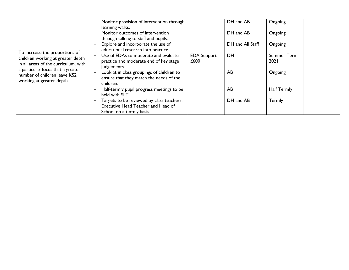|                                                                                                             | Monitor provision of intervention through<br>$\qquad \qquad -$<br>learning walks.                                                            |                              | DH and AB        | Ongoing                    |
|-------------------------------------------------------------------------------------------------------------|----------------------------------------------------------------------------------------------------------------------------------------------|------------------------------|------------------|----------------------------|
|                                                                                                             | Monitor outcomes of intervention<br>through talking to staff and pupils.                                                                     |                              | DH and AB        | Ongoing                    |
|                                                                                                             | Explore and incorporate the use of<br>educational research into practice                                                                     |                              | DH and All Staff | Ongoing                    |
| To increase the proportions of<br>children working at greater depth<br>in all areas of the curriculum, with | Use of EDAs to moderate and evaluate<br>practice and moderate end of key stage                                                               | <b>EDA Support -</b><br>£600 | <b>DH</b>        | Summer Term<br><b>2021</b> |
| a particular focus that a greater<br>number of children leave KS2<br>working at greater depth.              | judgements.<br>Look at in class groupings of children to<br>$\overline{\phantom{m}}$<br>ensure that they match the needs of the<br>children. |                              | AB               | Ongoing                    |
|                                                                                                             | Half-termly pupil progress meetings to be<br>held with SLT.                                                                                  |                              | AB               | <b>Half Termly</b>         |
|                                                                                                             | Targets to be reviewed by class teachers,<br>Executive Head Teacher and Head of                                                              |                              | DH and AB        | Termly                     |
|                                                                                                             | School on a termly basis.                                                                                                                    |                              |                  |                            |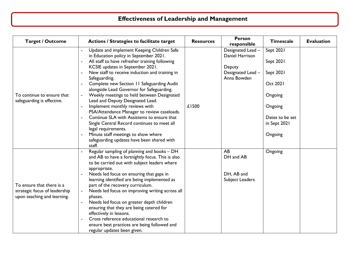# **Effectiveness of Leadership and Management**

| <b>Target / Outcome</b>                                  | Actions / Strategies to facilitate target                                                        | <b>Resources</b> | <b>Person</b><br>responsible         | <b>Timescale</b> | <b>Evaluation</b> |
|----------------------------------------------------------|--------------------------------------------------------------------------------------------------|------------------|--------------------------------------|------------------|-------------------|
|                                                          | Update and implement Keeping Children Safe<br>in Education policy in September 2021.             |                  | Designated Lead -<br>Daniel Harrison | Sept 2021        |                   |
|                                                          | All staff to have refresher training following<br>KCSIE updates in September 2021.               |                  | Deputy                               | Sept 2021        |                   |
|                                                          | New staff to receive induction and training in<br>Safeguarding.                                  |                  | Designated Lead -<br>Anna Bowden     | Sept 2021        |                   |
|                                                          | Complete new Section 11 Safeguarding Audit<br>alongside Lead Governor for Safeguarding.          |                  |                                      | Oct 2021         |                   |
| To continue to ensure that<br>safeguarding is effective. | Weekly meetings to held between Designated<br>Lead and Deputy Designated Lead.                   |                  |                                      | Ongoing          |                   |
|                                                          | Implement monthly reviews with<br>PSA/Attendance Manager to review caseloads.                    | £1500            |                                      | Ongoing          |                   |
|                                                          | Continue SLA with Assistems to ensure that                                                       |                  |                                      | Dates to be set  |                   |
|                                                          | Single Central Record continues to meet all<br>legal requirements.                               |                  |                                      | in Sept 2021     |                   |
|                                                          | Minute staff meetings to show where                                                              |                  |                                      | Ongoing          |                   |
|                                                          | safeguarding updates have been shared with<br>staff.                                             |                  |                                      |                  |                   |
|                                                          | Regular sampling of planning and books - DH                                                      |                  | AB                                   | Ongoing          |                   |
|                                                          | and AB to have a fortnightly focus. This is also<br>to be carried out with subject leaders where |                  | DH and AB                            |                  |                   |
|                                                          | appropriate.                                                                                     |                  |                                      |                  |                   |
|                                                          | Needs led focus on ensuring that gaps in                                                         |                  | DH, AB and                           |                  |                   |
|                                                          | learning identified are being implemented as                                                     |                  | Subject Leaders                      |                  |                   |
| To ensure that there is a                                | part of the recovery curriculum.                                                                 |                  |                                      |                  |                   |
| strategic focus of leadership                            | Needs led focus on improving writing across all<br>$\blacksquare$                                |                  |                                      |                  |                   |
| upon teaching and learning.                              | phases.                                                                                          |                  |                                      |                  |                   |
|                                                          | Needs led focus on greater depth children                                                        |                  |                                      |                  |                   |
|                                                          | ensuring that they are being catered for                                                         |                  |                                      |                  |                   |
|                                                          | effectively in lessons.<br>Cross reference educational research to                               |                  |                                      |                  |                   |
|                                                          | ensure best practices are being followed and                                                     |                  |                                      |                  |                   |
|                                                          | regular updates been given.                                                                      |                  |                                      |                  |                   |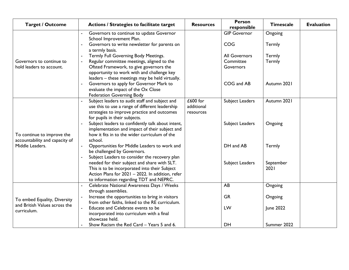| <b>Target / Outcome</b>                                       | <b>Actions / Strategies to facilitate target</b>                                                    | <b>Resources</b> | <b>Person</b><br>responsible | <b>Timescale</b> | <b>Evaluation</b> |
|---------------------------------------------------------------|-----------------------------------------------------------------------------------------------------|------------------|------------------------------|------------------|-------------------|
|                                                               | Governors to continue to update Governor<br>School Improvement Plan.                                |                  | <b>GIP Governor</b>          | Ongoing          |                   |
|                                                               | Governors to write newsletter for parents on<br>a termly basis.                                     |                  | <b>COG</b>                   | Termly           |                   |
|                                                               | Termly Full Governing Body Meetings.                                                                |                  | <b>All Governors</b>         | Termly           |                   |
| Governors to continue to                                      | Regular committee meetings, aligned to the                                                          |                  | Committee                    | Termly           |                   |
| hold leaders to account.                                      | Ofsted Framework, to give governors the                                                             |                  | Governors                    |                  |                   |
|                                                               | opportunity to work with and challenge key                                                          |                  |                              |                  |                   |
|                                                               | leaders - these meetings may be held virtually.<br>Governors to apply for Governor Mark to          |                  | COG and AB                   | Autumn 2021      |                   |
|                                                               | evaluate the impact of the Ox Close                                                                 |                  |                              |                  |                   |
|                                                               | <b>Federation Governing Body</b>                                                                    |                  |                              |                  |                   |
|                                                               | Subject leaders to audit staff and subject and<br>$\blacksquare$                                    | £600 for         | Subject Leaders              | Autumn 2021      |                   |
|                                                               | use this to use a range of different leadership                                                     | additional       |                              |                  |                   |
|                                                               | strategies to improve practice and outcomes                                                         | resources        |                              |                  |                   |
|                                                               | for pupils in their subjects.                                                                       |                  |                              |                  |                   |
|                                                               | Subject leaders to confidently talk about intent,<br>implementation and impact of their subject and |                  | Subject Leaders              | Ongoing          |                   |
| To continue to improve the                                    | how it fits in to the wider curriculum of the                                                       |                  |                              |                  |                   |
| accountability and capacity of                                | school.                                                                                             |                  |                              |                  |                   |
| Middle Leaders.                                               | Opportunities for Middle Leaders to work and<br>$\blacksquare$                                      |                  | DH and AB                    | Termly           |                   |
|                                                               | be challenged by Governors.                                                                         |                  |                              |                  |                   |
|                                                               | Subject Leaders to consider the recovery plan                                                       |                  |                              |                  |                   |
|                                                               | needed for their subject and share with SLT.                                                        |                  | Subject Leaders              | September        |                   |
|                                                               | This is to be incorporated into their Subject                                                       |                  |                              | 2021             |                   |
|                                                               | Action Plans for 2021 - 2022. In addition, refer<br>to information regarding TDT and NEPRC.         |                  |                              |                  |                   |
|                                                               | Celebrate National Awareness Days / Weeks                                                           |                  | AB                           | Ongoing          |                   |
|                                                               | through assemblies.                                                                                 |                  |                              |                  |                   |
|                                                               | Increase the opportunities to bring in visitors                                                     |                  | <b>GR</b>                    | Ongoing          |                   |
| To embed Equality, Diversity<br>and British Values across the | from other faiths, linked to the RE curriculum.                                                     |                  |                              |                  |                   |
| curriculum.                                                   | $\mathbf{r}$<br>Educate and Celebrate events to be                                                  |                  | LW                           | June 2022        |                   |
|                                                               | incorporated into curriculum with a final                                                           |                  |                              |                  |                   |
|                                                               | showcase held.                                                                                      |                  |                              |                  |                   |
|                                                               | Show Racism the Red Card - Years 5 and 6.                                                           |                  | <b>DH</b>                    | Summer 2022      |                   |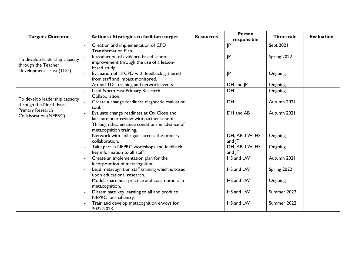| <b>Target / Outcome</b>                                  | <b>Actions / Strategies to facilitate target</b>                                                                                                                      | <b>Resources</b> | <b>Person</b><br>responsible | <b>Timescale</b> | <b>Evaluation</b> |
|----------------------------------------------------------|-----------------------------------------------------------------------------------------------------------------------------------------------------------------------|------------------|------------------------------|------------------|-------------------|
|                                                          | Creation and implementation of CPD<br><b>Transformation Plan.</b>                                                                                                     |                  | JP                           | Sept 2021        |                   |
| To develop leadership capacity<br>through the Teacher    | Introduction of evidence-based school<br>improvement through the use of a lesson-<br>based study.                                                                     |                  | JP                           | Spring 2022      |                   |
| Development Trust (TDT).                                 | Evaluation of all CPD with feedback gathered<br>from staff and impact monitored.                                                                                      |                  | JP                           | Ongoing          |                   |
|                                                          | Attend TDT training and network events.                                                                                                                               |                  | $DH$ and $JP$                | Ongoing          |                   |
|                                                          | Lead North East Primary Research<br>Collaboration.                                                                                                                    |                  | <b>DH</b>                    | Ongoing          |                   |
| To develop leadership capacity<br>through the North East | Create a change readiness diagnostic evaluation<br>$\mathbf{r}$ .<br>tool.                                                                                            |                  | DH                           | Autumn 2021      |                   |
| Primary Research<br>Collaboration (NEPRC).               | Evaluate change readiness at Ox Close and<br>facilitate peer review with partner school.<br>Through this, enhance conditions in advance of<br>metacognition training. |                  | DH and AB                    | Autumn 2021      |                   |
|                                                          | Network with colleagues across the primary<br>collaboration.                                                                                                          |                  | DH, AB, LW, HS<br>and JT     | Ongoing          |                   |
|                                                          | Take part in NEPRC workshops and feedback<br>key information to all staff.                                                                                            |                  | DH, AB, LW, HS<br>and JT     | Ongoing          |                   |
|                                                          | Create an implementation plan for the<br>incorporation of metacognition.                                                                                              |                  | HS and LW                    | Autumn 2021      |                   |
|                                                          | Lead metacognition staff training which is based<br>upon educational research.                                                                                        |                  | HS and LW                    | Spring 2022      |                   |
|                                                          | Model, share best practice and coach others in<br>metacognition.                                                                                                      |                  | HS and LW                    | Ongoing          |                   |
|                                                          | Disseminate key learning to all and produce<br>NEPRC journal entry.                                                                                                   |                  | HS and LW                    | Summer 2022      |                   |
|                                                          | Train and develop metacognition envoys for<br>2022-2023.                                                                                                              |                  | HS and LW                    | Summer 2022      |                   |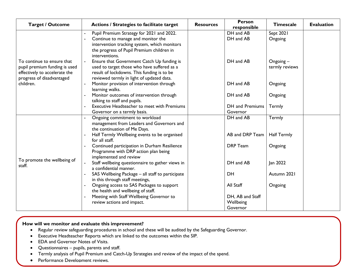| <b>Target / Outcome</b>       | <b>Actions / Strategies to facilitate target</b>              | <b>Resources</b> | <b>Person</b><br>responsible | <b>Timescale</b>   | <b>Evaluation</b> |
|-------------------------------|---------------------------------------------------------------|------------------|------------------------------|--------------------|-------------------|
|                               | Pupil Premium Strategy for 2021 and 2022.                     |                  | DH and AB                    | Sept 2021          |                   |
|                               | Continue to manage and monitor the                            |                  | DH and AB                    | Ongoing            |                   |
|                               | intervention tracking system, which monitors                  |                  |                              |                    |                   |
|                               | the progress of Pupil Premium children in                     |                  |                              |                    |                   |
|                               | interventions.                                                |                  |                              |                    |                   |
| To continue to ensure that    | Ensure that Government Catch Up funding is                    |                  | DH and AB                    | $O$ ngoing $-$     |                   |
| pupil premium funding is used | used to target those who have suffered as a                   |                  |                              | termly reviews     |                   |
| effectively to accelerate the | result of lockdowns. This funding is to be                    |                  |                              |                    |                   |
| progress of disadvantaged     | reviewed termly in light of updated data.                     |                  |                              |                    |                   |
| children.                     | Monitor provision of intervention through                     |                  | DH and AB                    | Ongoing            |                   |
|                               | learning walks.                                               |                  |                              |                    |                   |
|                               | Monitor outcomes of intervention through                      |                  | DH and AB                    | Ongoing            |                   |
|                               | talking to staff and pupils.                                  |                  |                              |                    |                   |
|                               | Executive Headteacher to meet with Premiums                   |                  | DH and Premiums<br>Governor  | Termly             |                   |
|                               | Governor on a termly basis.<br>Ongoing commitment to workload |                  | DH and AB                    | Termly             |                   |
|                               | management from Leaders and Governors and                     |                  |                              |                    |                   |
|                               | the continuation of Me Days.                                  |                  |                              |                    |                   |
|                               | Half Termly Wellbeing events to be organised                  |                  | AB and DRP Team              | <b>Half Termly</b> |                   |
|                               | for all staff.                                                |                  |                              |                    |                   |
|                               | Continued participation in Durham Resilience                  |                  | <b>DRP</b> Team              | Ongoing            |                   |
|                               | Programme with DRP action plan being                          |                  |                              |                    |                   |
|                               | implemented and review                                        |                  |                              |                    |                   |
| To promote the wellbeing of   | Staff wellbeing questionnaire to gather views in              |                  | DH and AB                    | Jan 2022           |                   |
| staff.                        | a confidential manner.                                        |                  |                              |                    |                   |
|                               | SAS Wellbeing Package - all staff to participate              |                  | <b>DH</b>                    | Autumn 2021        |                   |
|                               | in this through staff meetings,                               |                  |                              |                    |                   |
|                               | Ongoing access to SAS Packages to support                     |                  | All Staff                    | Ongoing            |                   |
|                               | the health and wellbeing of staff.                            |                  |                              |                    |                   |
|                               | Meeting with Staff Wellbeing Governor to                      |                  | DH, AB and Staff             |                    |                   |
|                               | review actions and impact.                                    |                  | Wellbeing                    |                    |                   |
|                               |                                                               |                  | Governor                     |                    |                   |

- Regular review safeguarding procedures in school and these will be audited by the Safeguarding Governor.
- Executive Headteacher Reports which are linked to the outcomes within the SIP.
- EDA and Governor Notes of Visits.
- Questionnaires pupils, parents and staff.
- Termly analysis of Pupil Premium and Catch-Up Strategies and review of the impact of the spend.
- Performance Development reviews.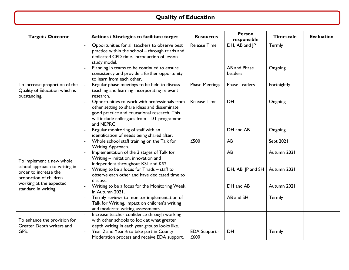## **Quality of Education**

| <b>Target / Outcome</b>                                                          | <b>Actions / Strategies to facilitate target</b>                                                                                                                                                               | <b>Resources</b>             | <b>Person</b><br>responsible  | <b>Timescale</b>  | <b>Evaluation</b> |
|----------------------------------------------------------------------------------|----------------------------------------------------------------------------------------------------------------------------------------------------------------------------------------------------------------|------------------------------|-------------------------------|-------------------|-------------------|
|                                                                                  | Opportunities for all teachers to observe best<br>practice within the school - through triads and<br>dedicated CPD time. Introduction of lesson<br>study model.<br>Planning in teams to be continued to ensure | <b>Release Time</b>          | DH, AB and JP<br>AB and Phase | Termly<br>Ongoing |                   |
|                                                                                  | consistency and provide a further opportunity<br>to learn from each other.                                                                                                                                     |                              | Leaders                       |                   |                   |
| To increase proportion of the<br>Quality of Education which is<br>outstanding.   | Regular phase meetings to be held to discuss<br>teaching and learning incorporating relevant<br>research.                                                                                                      | <b>Phase Meetings</b>        | <b>Phase Leaders</b>          | Fortnightly       |                   |
|                                                                                  | Opportunities to work with professionals from<br>other setting to share ideas and disseminate<br>good practice and educational research. This<br>will include colleagues from TDT programme<br>and NEPRC.      | <b>Release Time</b>          | DH                            | Ongoing           |                   |
|                                                                                  | Regular monitoring of staff with an<br>identification of needs being shared after.                                                                                                                             |                              | DH and AB                     | Ongoing           |                   |
|                                                                                  | Whole school staff training on the Talk for<br>Writing Approach.                                                                                                                                               | £500                         | AB                            | Sept 2021         |                   |
| To implement a new whole                                                         | Implementation of the 3 stages of Talk for<br>Writing - imitation, innovation and<br>independent throughout KSI and KS2.                                                                                       |                              | AB                            | Autumn 2021       |                   |
| school approach to writing in<br>order to increase the<br>proportion of children | Writing to be a focus for Triads - staff to<br>observe each other and have dedicated time to<br>discuss.                                                                                                       |                              | DH, AB, JP and SH             | Autumn 2021       |                   |
| working at the expected<br>standard in writing.                                  | Writing to be a focus for the Monitoring Week<br>in Autumn 2021.                                                                                                                                               |                              | DH and AB                     | Autumn 2021       |                   |
|                                                                                  | Termly reviews to monitor implementation of<br>Talk for Writing, impact on children's writing<br>and moderate writing assessments.                                                                             |                              | AB and SH                     | Termly            |                   |
| To enhance the provision for                                                     | Increase teacher confidence through working<br>with other schools to look at what greater                                                                                                                      |                              |                               |                   |                   |
| Greater Depth writers and<br>GPS.                                                | depth writing in each year groups looks like.<br>Year 2 and Year 6 to take part in County<br>Moderation process and receive EDA support.                                                                       | <b>EDA Support -</b><br>£600 | DH                            | Termly            |                   |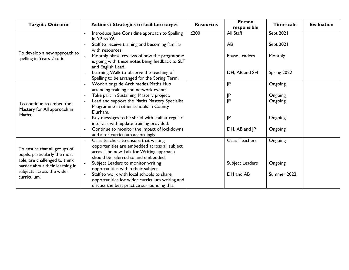| <b>Target / Outcome</b>                                 | <b>Actions / Strategies to facilitate target</b>                                        | <b>Resources</b> | <b>Person</b><br>responsible | <b>Timescale</b> | <b>Evaluation</b> |
|---------------------------------------------------------|-----------------------------------------------------------------------------------------|------------------|------------------------------|------------------|-------------------|
|                                                         | Introduce Jane Considine approach to Spelling<br>in Y2 to Y6.                           | £200             | All Staff                    | Sept 2021        |                   |
|                                                         | Staff to receive training and becoming familiar                                         |                  | AB                           | Sept 2021        |                   |
| To develop a new approach to                            | with resources.<br>Monthly phase reviews of how the programme                           |                  | <b>Phase Leaders</b>         | Monthly          |                   |
| spelling in Years 2 to 6.                               | is going with these notes being feedback to SLT                                         |                  |                              |                  |                   |
|                                                         | and English Lead.                                                                       |                  |                              |                  |                   |
|                                                         | Learning Walk to observe the teaching of                                                |                  | DH, AB and SH                | Spring 2022      |                   |
|                                                         | Spelling to be arranged for the Spring Term.                                            |                  |                              |                  |                   |
|                                                         | Work alongside Archimedes Maths Hub<br>attending training and network events.           |                  | JP                           | Ongoing          |                   |
|                                                         | Take part in Sustaining Mastery project.                                                |                  | JP                           | Ongoing          |                   |
|                                                         | Lead and support the Maths Mastery Specialist                                           |                  | JP                           | Ongoing          |                   |
| To continue to embed the<br>Mastery for All approach in | Programme in other schools in County                                                    |                  |                              |                  |                   |
| Maths.                                                  | Durham.                                                                                 |                  |                              |                  |                   |
|                                                         | Key messages to be shred with staff at regular                                          |                  | JP                           | Ongoing          |                   |
|                                                         | intervals with update training provided.<br>Continue to monitor the impact of lockdowns |                  | DH, AB and JP                | Ongoing          |                   |
|                                                         | and alter curriculum accordingly.                                                       |                  |                              |                  |                   |
|                                                         | Class teachers to ensure that writing                                                   |                  | <b>Class Teachers</b>        | Ongoing          |                   |
| To ensure that all groups of                            | opportunities are embedded across all subject                                           |                  |                              |                  |                   |
| pupils, particularly the most                           | areas. The new Talk for Writing approach                                                |                  |                              |                  |                   |
| able, are challenged to think                           | should be referred to and embedded.                                                     |                  |                              |                  |                   |
| harder about their learning in                          | Subject Leaders to monitor writing                                                      |                  | Subject Leaders              | Ongoing          |                   |
| subjects across the wider                               | opportunities within their subject.<br>Staff to work with local schools to share        |                  | DH and AB                    | Summer 2022      |                   |
| curriculum.                                             | opportunities for wider curriculum writing and                                          |                  |                              |                  |                   |
|                                                         | discuss the best practice surrounding this.                                             |                  |                              |                  |                   |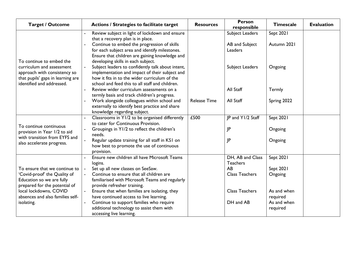| <b>Target / Outcome</b>                                                                                                    | <b>Actions / Strategies to facilitate target</b>                                                                                                                                                                                                               | <b>Resources</b>    | <b>Person</b><br>responsible     | <b>Timescale</b>        | <b>Evaluation</b> |
|----------------------------------------------------------------------------------------------------------------------------|----------------------------------------------------------------------------------------------------------------------------------------------------------------------------------------------------------------------------------------------------------------|---------------------|----------------------------------|-------------------------|-------------------|
|                                                                                                                            | Review subject in light of lockdown and ensure                                                                                                                                                                                                                 |                     | Subject Leaders                  | Sept 2021               |                   |
|                                                                                                                            | that a recovery plan is in place.<br>Continue to embed the progression of skills<br>for each subject area and identify milestones.                                                                                                                             |                     | AB and Subject<br><b>Leaders</b> | Autumn 2021             |                   |
| To continue to embed the<br>curriculum and assessment<br>approach with consistency so<br>that pupils' gaps in learning are | Ensure that children are gaining knowledge and<br>developing skills in each subject.<br>Subject leaders to confidently talk about intent,<br>$\blacksquare$<br>implementation and impact of their subject and<br>how it fits in to the wider curriculum of the |                     | Subject Leaders                  | Ongoing                 |                   |
| identified and addressed.                                                                                                  | school and feed this to all staff and children.<br>Review wider curriculum assessments on a<br>termly basis and track children's progress.                                                                                                                     |                     | All Staff                        | Termly                  |                   |
|                                                                                                                            | Work alongside colleagues within school and<br>externally to identify best practice and share<br>knowledge regarding subject.                                                                                                                                  | <b>Release Time</b> | All Staff                        | Spring 2022             |                   |
|                                                                                                                            | Classrooms in Y1/2 to be organised differently                                                                                                                                                                                                                 | £500                | IP and Y1/2 Staff                | Sept 2021               |                   |
| To continue continuous<br>provision in Year 1/2 to aid                                                                     | to cater for Continuous Provision.<br>Groupings in Y1/2 to reflect the children's<br>needs.                                                                                                                                                                    |                     | JP                               | Ongoing                 |                   |
| with transition from EYFS and<br>also accelerate progress.                                                                 | Regular update training for all staff in KS1 on<br>how best to promote the use of continuous<br>provision.                                                                                                                                                     |                     | JP                               | Ongoing                 |                   |
|                                                                                                                            | Ensure new children all have Microsoft Teams                                                                                                                                                                                                                   |                     | DH, AB and Class                 | Sept 2021               |                   |
|                                                                                                                            | logins.                                                                                                                                                                                                                                                        |                     | <b>Teachers</b>                  |                         |                   |
| To ensure that we continue to                                                                                              | Set up all new classes on SeeSaw.                                                                                                                                                                                                                              |                     | AB                               | Sept 2021               |                   |
| 'Covid-proof' the Quality of<br>Education so we are fully<br>prepared for the potential of                                 | Continue to ensure that all children are<br>$\blacksquare$<br>familiarised with Microsoft Teams and regularly<br>provide refresher training.                                                                                                                   |                     | <b>Class Teachers</b>            | Ongoing                 |                   |
| local lockdowns, COVID                                                                                                     | Ensure that when families are isolating, they<br>$\blacksquare$                                                                                                                                                                                                |                     | <b>Class Teachers</b>            | As and when             |                   |
| absences and also families self-                                                                                           | have continued access to live learning.                                                                                                                                                                                                                        |                     |                                  | required                |                   |
| isolating.                                                                                                                 | Continue to support families who require<br>additional technology to assist them with                                                                                                                                                                          |                     | DH and AB                        | As and when<br>required |                   |
|                                                                                                                            | accessing live learning.                                                                                                                                                                                                                                       |                     |                                  |                         |                   |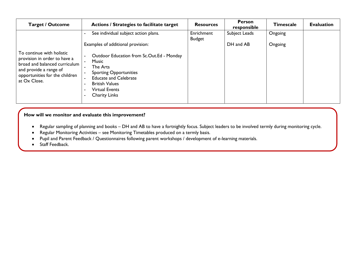| <b>Target / Outcome</b>                                                                                                                                                | Actions / Strategies to facilitate target                                                                                                                                                                                                                  | <b>Resources</b> | <b>Person</b><br>responsible | <b>Timescale</b> | <b>Evaluation</b> |
|------------------------------------------------------------------------------------------------------------------------------------------------------------------------|------------------------------------------------------------------------------------------------------------------------------------------------------------------------------------------------------------------------------------------------------------|------------------|------------------------------|------------------|-------------------|
|                                                                                                                                                                        | See individual subject action plans.                                                                                                                                                                                                                       | Enrichment       | Subject Leads                | Ongoing          |                   |
| To continue with holistic<br>provision in order to have a<br>broad and balanced curriculum<br>and provide a range of<br>opportunities for the children<br>at Ox Close. | Examples of additional provision:<br>Outdoor Education from Sc.Out.Ed - Monday<br><b>Music</b><br>The Arts<br><b>Sporting Opportunities</b><br><b>Educate and Celebrate</b><br><b>British Values</b><br><b>Virtual Events</b><br>۰<br><b>Charity Links</b> | <b>Budget</b>    | DH and AB                    | Ongoing          |                   |
|                                                                                                                                                                        |                                                                                                                                                                                                                                                            |                  |                              |                  |                   |

 $\mathcal{M}(\mathcal{M})$  and progress throughout the school. The school  $\mathcal{M}(\mathcal{M})$ 

- Regular sampling of planning and books DH and AB to have a fortnightly focus. Subject leaders to be involved termly during monitoring cycle.
- Regular Monitoring Activities see Monitoring Timetables produced on a termly basis.
- Pupil and Parent Feedback / Questionnaires following parent workshops / development of e-learning materials.
- Staff Feedback.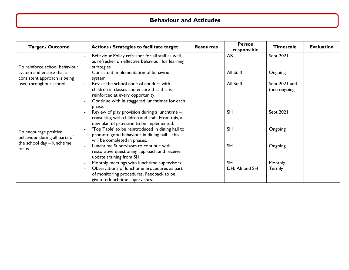## **Behaviour and Attitudes**

| <b>Target / Outcome</b>                                               | Actions / Strategies to facilitate target                                                                                                                                                                                                                                                                     | <b>Resources</b> | <b>Person</b><br>responsible | <b>Timescale</b>              | <b>Evaluation</b> |
|-----------------------------------------------------------------------|---------------------------------------------------------------------------------------------------------------------------------------------------------------------------------------------------------------------------------------------------------------------------------------------------------------|------------------|------------------------------|-------------------------------|-------------------|
| To reinforce school behaviour<br>system and ensure that a             | Behaviour Policy refresher for all staff as well<br>as refresher on effective behaviour for learning<br>strategies.<br>Consistent implementation of behaviour<br>system.                                                                                                                                      |                  | AB<br>All Staff              | Sept 2021<br>Ongoing          |                   |
| consistent approach is being<br>used throughout school.               | Revisit the school code of conduct with<br>children in classes and ensure that this is<br>reinforced at every opportunity.                                                                                                                                                                                    |                  | All Staff                    | Sept 2021 and<br>then ongoing |                   |
| To encourage positive                                                 | Continue with in staggered lunchtimes for each<br>phase.<br>Review of play provision during a lunchtime -<br>consulting with children and staff. From this, a<br>new plan of provision to be implemented.<br>'Top Table' to be reintroduced in dining hall to<br>promote good behaviour in dining hall - this |                  | <b>SH</b><br><b>SH</b>       | Sept 2021<br>Ongoing          |                   |
| behaviour during all parts of<br>the school day - lunchtime<br>focus. | will be completed in phases.<br>Lunchtime Supervisors to continue with<br>restorative questioning approach and receive<br>update training from SH.                                                                                                                                                            |                  | <b>SH</b>                    | Ongoing                       |                   |
|                                                                       | Monthly meetings with lunchtime supervisors.<br>Observations of lunchtime procedures as part<br>of monitoring procedures. Feedback to be<br>given to lunchtime supervisors.                                                                                                                                   |                  | <b>SH</b><br>DH, AB and SH   | Monthly<br>Termly             |                   |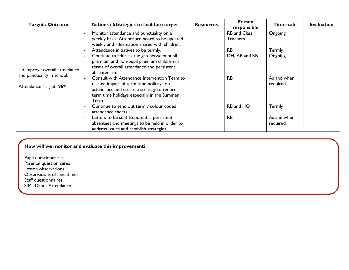| <b>Target / Outcome</b>                                                               | Actions / Strategies to facilitate target                                                                                                                                                     | <b>Resources</b> | <b>Person</b><br>responsible           | <b>Timescale</b>        | <b>Evaluation</b> |
|---------------------------------------------------------------------------------------|-----------------------------------------------------------------------------------------------------------------------------------------------------------------------------------------------|------------------|----------------------------------------|-------------------------|-------------------|
| To improve overall attendance<br>and punctuality in school.<br>Attendance Target -96% | Monitor attendance and punctuality on a<br>weekly basis. Attendance board to be updated<br>weekly and information shared with children.                                                       |                  | <b>RB</b> and Class<br><b>Teachers</b> | Ongoing                 |                   |
|                                                                                       | Attendance initiatives to be termly.<br>Continue to address the gap between pupil<br>premium and non-pupil premium children in<br>terms of overall attendance and persistent<br>absenteeism.  |                  | <b>RB</b><br>DH, AB and RB             | Termly<br>Ongoing       |                   |
|                                                                                       | Consult with Attendance Intervention Team to<br>discuss impact of term time holidays on<br>attendance and create a strategy to reduce<br>term time holidays especially in the Summer<br>Term. |                  | <b>RB</b>                              | As and when<br>required |                   |
|                                                                                       | Continue to send out termly colour coded<br>attendance sheets.                                                                                                                                |                  | RB and HO                              | Termly                  |                   |
|                                                                                       | Letters to be sent to potential persistent<br>absentees and meetings to be held in order to<br>address issues and establish strategies.                                                       |                  | <b>RB</b>                              | As and when<br>required |                   |

Pupil questionnaires Parental questionnaires Lesson observations Observations of lunchtimes Staff questionnaires SIMs Data - Attendance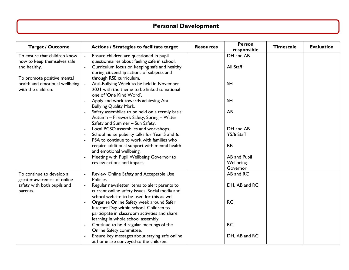# **Personal Development**

| <b>Target / Outcome</b>                                                                                                                                           | Actions / Strategies to facilitate target                                                                                                                                             | <b>Resources</b> | <b>Person</b><br>responsible | <b>Timescale</b> | <b>Evaluation</b> |
|-------------------------------------------------------------------------------------------------------------------------------------------------------------------|---------------------------------------------------------------------------------------------------------------------------------------------------------------------------------------|------------------|------------------------------|------------------|-------------------|
| To ensure that children know<br>how to keep themselves safe<br>and healthy.<br>To promote positive mental<br>health and emotional wellbeing<br>with the children. | Ensure children are questioned in pupil<br>questionnaires about feeling safe in school.<br>Curriculum focus on keeping safe and healthy<br>during citizenship actions of subjects and |                  | DH and AB<br>All Staff       |                  |                   |
|                                                                                                                                                                   | through RSE curriculum.<br>Anti-Bullying Week to be held in November<br>2021 with the theme to be linked to national<br>one of 'One Kind Word'.                                       |                  | <b>SH</b>                    |                  |                   |
|                                                                                                                                                                   | Apply and work towards achieving Anti<br><b>Bullying Quality Mark.</b>                                                                                                                |                  | <b>SH</b>                    |                  |                   |
|                                                                                                                                                                   | Safety assemblies to be held on a termly basis:<br>Autumn - Firework Safety, Spring - Water<br>Safety and Summer - Sun Safety.                                                        |                  | AB                           |                  |                   |
|                                                                                                                                                                   | Local PCSO assemblies and workshops.                                                                                                                                                  |                  | DH and AB                    |                  |                   |
|                                                                                                                                                                   | School nurse puberty talks for Year 5 and 6.<br>PSA to continue to work with families who                                                                                             |                  | Y5/6 Staff                   |                  |                   |
|                                                                                                                                                                   | require additional support with mental health<br>and emotional wellbeing.                                                                                                             |                  | <b>RB</b>                    |                  |                   |
|                                                                                                                                                                   | Meeting with Pupil Wellbeing Governor to                                                                                                                                              |                  | AB and Pupil                 |                  |                   |
|                                                                                                                                                                   | review actions and impact.                                                                                                                                                            |                  | Wellbeing                    |                  |                   |
|                                                                                                                                                                   |                                                                                                                                                                                       |                  | Governor                     |                  |                   |
| To continue to develop a<br>greater awareness of online<br>safety with both pupils and<br>parents.                                                                | Review Online Safety and Acceptable Use<br>Policies.                                                                                                                                  |                  | AB and RC                    |                  |                   |
|                                                                                                                                                                   | Regular newsletter items to alert parents to<br>current online safety issues. Social media and<br>school website to be used for this as well.                                         |                  | DH, AB and RC                |                  |                   |
|                                                                                                                                                                   | Organise Online Safety week around Safer<br>Internet Day within school. Children to<br>participate in classroom activities and share<br>learning in whole school assembly.            |                  | <b>RC</b>                    |                  |                   |
|                                                                                                                                                                   | Continue to hold regular meetings of the<br>Online Safety committee.                                                                                                                  |                  | <b>RC</b>                    |                  |                   |
|                                                                                                                                                                   | Ensure key messages about staying safe online<br>at home are conveyed to the children.                                                                                                |                  | DH, AB and RC                |                  |                   |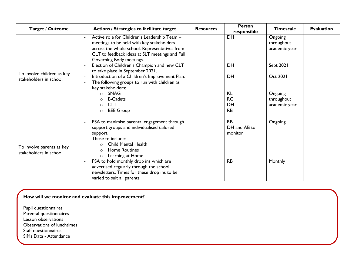| <b>Target / Outcome</b>                               | Actions / Strategies to facilitate target                                                                                                                                                                                | <b>Resources</b> | <b>Person</b><br>responsible | <b>Timescale</b>                       | <b>Evaluation</b> |
|-------------------------------------------------------|--------------------------------------------------------------------------------------------------------------------------------------------------------------------------------------------------------------------------|------------------|------------------------------|----------------------------------------|-------------------|
| To involve children as key<br>stakeholders in school. | Active role for Children's Leadership Team -<br>meetings to be held with key stakeholders<br>across the whole school. Representatives from<br>CLT to feedback ideas at SLT meetings and Full<br>Governing Body meetings. |                  | DH                           | Ongoing<br>throughout<br>academic year |                   |
|                                                       | Election of Children's Champion and new CLT<br>to take place in September 2021.                                                                                                                                          |                  | <b>DH</b>                    | Sept 2021                              |                   |
|                                                       | Introduction of a Children's Improvement Plan.<br>The following groups to run with children as<br>key stakeholders:                                                                                                      |                  | <b>DH</b>                    | <b>Oct 2021</b>                        |                   |
|                                                       | <b>SNAG</b><br>$\circ$                                                                                                                                                                                                   |                  | <b>KL</b>                    | Ongoing                                |                   |
|                                                       | E-Cadets<br><b>CLT</b>                                                                                                                                                                                                   |                  | <b>RC</b><br>DH              | throughout                             |                   |
|                                                       | $\circ$<br><b>BEE Group</b><br>$\circ$                                                                                                                                                                                   |                  | <b>RB</b>                    | academic year                          |                   |
| To involve parents as key<br>stakeholders in school.  | PSA to maximise parental engagement through<br>support groups and individualised tailored                                                                                                                                |                  | <b>RB</b><br>DH and AB to    | Ongoing                                |                   |
|                                                       | support.                                                                                                                                                                                                                 |                  | monitor                      |                                        |                   |
|                                                       | These to include:                                                                                                                                                                                                        |                  |                              |                                        |                   |
|                                                       | Child Mental Health<br>$\circ$<br><b>Home Routines</b>                                                                                                                                                                   |                  |                              |                                        |                   |
|                                                       | $\circ$<br>Learning at Home<br>$\circ$                                                                                                                                                                                   |                  |                              |                                        |                   |
|                                                       | PSA to hold monthly drop ins which are                                                                                                                                                                                   |                  | <b>RB</b>                    | Monthly                                |                   |
|                                                       | advertised regularly through the school                                                                                                                                                                                  |                  |                              |                                        |                   |
|                                                       | newsletters. Times for these drop ins to be                                                                                                                                                                              |                  |                              |                                        |                   |
|                                                       | varied to suit all parents.                                                                                                                                                                                              |                  |                              |                                        |                   |

Pupil questionnaires Parental questionnaires Lesson observations Observations of lunchtimes Staff questionnaires SIMs Data - Attendance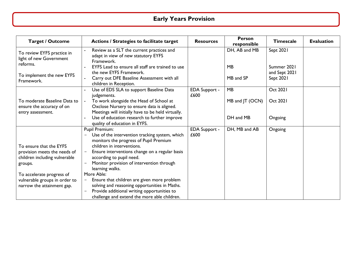# **Early Years Provision**

| <b>Target / Outcome</b>                                                                             | Actions / Strategies to facilitate target                                                                                                                                                                                                                                                                          | <b>Resources</b>             | <b>Person</b><br>responsible | <b>Timescale</b>                          | <b>Evaluation</b> |
|-----------------------------------------------------------------------------------------------------|--------------------------------------------------------------------------------------------------------------------------------------------------------------------------------------------------------------------------------------------------------------------------------------------------------------------|------------------------------|------------------------------|-------------------------------------------|-------------------|
| To review EYFS practice in<br>light of new Government<br>reforms.                                   | Review as a SLT the current practices and<br>adapt in view of new statutory EYFS<br>Framework.<br>EYFS Lead to ensure all staff are trained to use<br>the new EYFS Framework.                                                                                                                                      |                              | DH, AB and MB<br><b>MB</b>   | Sept 2021<br>Summer 2021<br>and Sept 2021 |                   |
| To implement the new EYFS<br>Framework.                                                             | Carry out DFE Baseline Assessment with all<br>children in Reception.                                                                                                                                                                                                                                               |                              | MB and SP                    | Sept 2021                                 |                   |
|                                                                                                     | Use of EDS SLA to support Baseline Data<br>judgements.                                                                                                                                                                                                                                                             | <b>EDA Support -</b><br>£600 | MB                           | <b>Oct 2021</b>                           |                   |
| To moderate Baseline Data to<br>ensure the accuracy of on<br>entry assessment.                      | To work alongside the Head of School at<br>Oxclose Nursery to ensure data is aligned.<br>Meetings will initially have to be held virtually.                                                                                                                                                                        |                              | MB and JT (OCN)              | <b>Oct 2021</b>                           |                   |
|                                                                                                     | Use of education research to further improve<br>quality of education in EYFS.                                                                                                                                                                                                                                      |                              | DH and MB                    | Ongoing                                   |                   |
| To ensure that the EYFS<br>provision meets the needs of<br>children including vulnerable<br>groups. | Pupil Premium:<br>Use of the intervention tracking system, which<br>$-$<br>monitors the progress of Pupil Premium<br>children in interventions.<br>Ensure interventions change on a regular basis<br>$\qquad \qquad -$<br>according to pupil need.<br>Monitor provision of intervention through<br>learning walks. | <b>EDA Support -</b><br>£600 | DH, MB and AB                | Ongoing                                   |                   |
| To accelerate progress of<br>vulnerable groups in order to<br>narrow the attainment gap.            | More Able:<br>Ensure that children are given more problem<br>solving and reasoning opportunities in Maths.<br>Provide additional writing opportunities to<br>challenge and extend the more able children.                                                                                                          |                              |                              |                                           |                   |